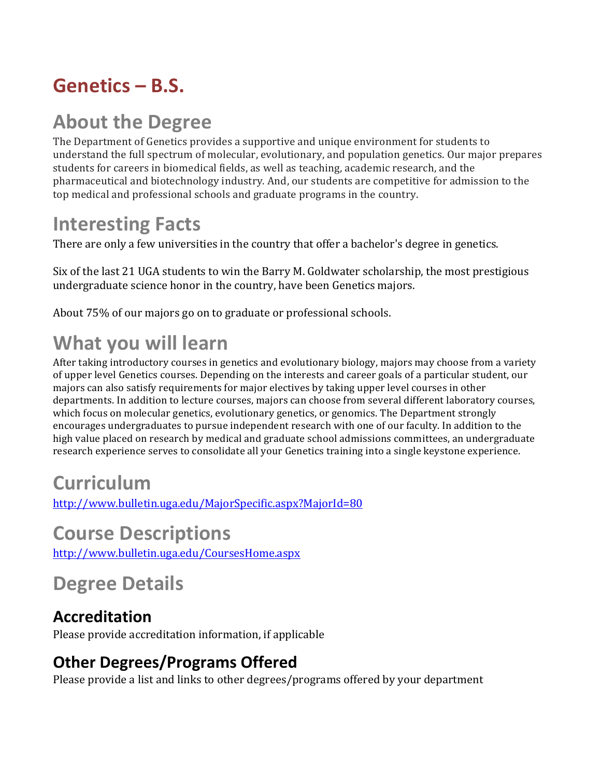## **Genetics – B.S.**

## **About the Degree**

The Department of Genetics provides a supportive and unique environment for students to understand the full spectrum of molecular, evolutionary, and population genetics. Our major prepares students for careers in biomedical fields, as well as teaching, academic research, and the pharmaceutical and biotechnology industry. And, our students are competitive for admission to the top medical and professional schools and graduate programs in the country.

## **Interesting Facts**

There are only a few universities in the country that offer a bachelor's degree in genetics.

Six of the last 21 UGA students to win the Barry M. Goldwater scholarship, the most prestigious undergraduate science honor in the country, have been Genetics majors.

About 75% of our majors go on to graduate or professional schools.

## **What you will learn**

After taking introductory courses in genetics and evolutionary biology, majors may choose from a variety of upper level Genetics courses. Depending on the interests and career goals of a particular student, our majors can also satisfy requirements for major electives by taking upper level courses in other departments. In addition to lecture courses, majors can choose from several different laboratory courses, which focus on molecular genetics, evolutionary genetics, or genomics. The Department strongly encourages undergraduates to pursue independent research with one of our faculty. In addition to the high value placed on research by medical and graduate school admissions committees, an undergraduate research experience serves to consolidate all your Genetics training into a single keystone experience.

## **Curriculum**

http://www.bulletin.uga.edu/MajorSpecific.aspx?MajorId=80

### **Course Descriptions**

http://www.bulletin.uga.edu/CoursesHome.aspx

# **Degree Details**

#### **Accreditation**

Please provide accreditation information, if applicable

### **Other Degrees/Programs Offered**

Please provide a list and links to other degrees/programs offered by your department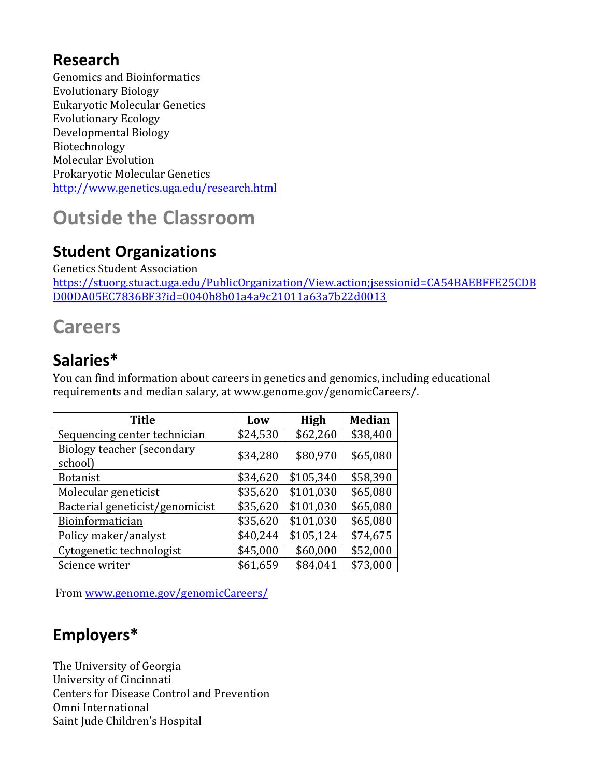#### **Research**

Genomics and Bioinformatics Evolutionary Biology Eukaryotic Molecular Genetics Evolutionary Ecology Developmental Biology Biotechnology Molecular Evolution Prokaryotic Molecular Genetics http://www.genetics.uga.edu/research.html

## **Outside the Classroom**

### **Student Organizations**

Genetics Student Association 

https://stuorg.stuact.uga.edu/PublicOrganization/View.action;jsessionid=CA54BAEBFFE25CDB D00DA05EC7836BF3?id=0040b8b01a4a9c21011a63a7b22d0013

### **Careers**

#### **Salaries\***

You can find information about careers in genetics and genomics, including educational requirements and median salary, at www.genome.gov/genomicCareers/.

| <b>Title</b>                          | Low      | High      | <b>Median</b> |
|---------------------------------------|----------|-----------|---------------|
| Sequencing center technician          | \$24,530 | \$62,260  | \$38,400      |
| Biology teacher (secondary<br>school) | \$34,280 | \$80,970  | \$65,080      |
| <b>Botanist</b>                       | \$34,620 | \$105,340 | \$58,390      |
| Molecular geneticist                  | \$35,620 | \$101,030 | \$65,080      |
| Bacterial geneticist/genomicist       | \$35,620 | \$101,030 | \$65,080      |
| Bioinformatician                      | \$35,620 | \$101,030 | \$65,080      |
| Policy maker/analyst                  | \$40,244 | \$105,124 | \$74,675      |
| Cytogenetic technologist              | \$45,000 | \$60,000  | \$52,000      |
| Science writer                        | \$61,659 | \$84,041  | \$73,000      |

From www.genome.gov/genomicCareers/

### **Employers\***

The University of Georgia University of Cincinnati Centers for Disease Control and Prevention Omni International Saint Jude Children's Hospital